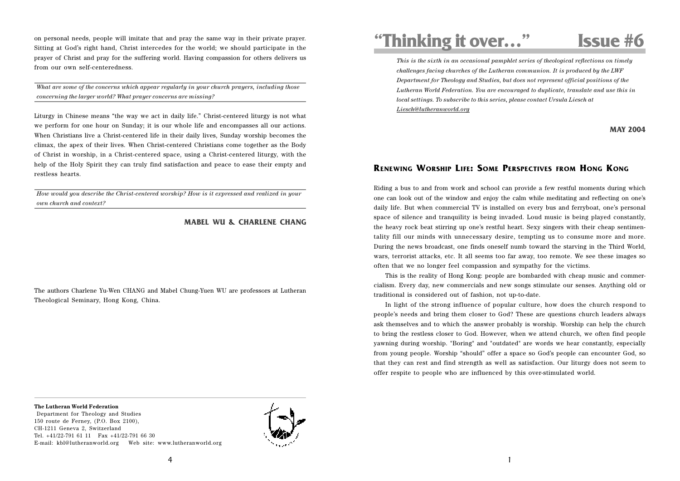on personal needs, people will imitate that and pray the same way in their private prayer. Sitting at God's right hand, Christ intercedes for the world; we should participate in the prayer of Christ and pray for the suffering world. Having compassion for others delivers us from our own self-centeredness.

*What are some of the concerns which appear regularly in your church prayers, including those concerning the larger world? What prayer concerns are missing?*

Liturgy in Chinese means "the way we act in daily life." Christ-centered liturgy is not what we perform for one hour on Sunday; it is our whole life and encompasses all our actions. When Christians live a Christ-centered life in their daily lives, Sunday worship becomes the climax, the apex of their lives. When Christ-centered Christians come together as the Body of Christ in worship, in a Christ-centered space, using a Christ-centered liturgy, with the help of the Holy Spirit they can truly find satisfaction and peace to ease their empty and restless hearts.

*How would you describe the Christ-centered worship? How is it expressed and realized in your own church and context?*

## **MABEL WU & CHARLENE CHANG**

The authors Charlene Yu-Wen CHANG and Mabel Chung-Yuen WU are professors at Lutheran Theological Seminary, Hong Kong, China.

## **"Thinking it over…" Issue #6**

*This is the sixth in an occasional pamphlet series of theological reflections on timely challenges facing churches of the Lutheran communion. It is produced by the LWF Department for Theology and Studies, but does not represent official positions of the Lutheran World Federation. You are encouraged to duplicate, translate and use this in local settings. To subscribe to this series, please contact Ursula Liesch at Liesch@lutheranworld.org*

**MAY 2004**

## **RENEWING WORSHIP LIFE: SOME PERSPECTIVES FROM HONG KONG**

Riding a bus to and from work and school can provide a few restful moments during which one can look out of the window and enjoy the calm while meditating and reflecting on one's daily life. But when commercial TV is installed on every bus and ferryboat, one's personal space of silence and tranquility is being invaded. Loud music is being played constantly, the heavy rock beat stirring up one's restful heart. Sexy singers with their cheap sentimentality fill our minds with unnecessary desire, tempting us to consume more and more. During the news broadcast, one finds oneself numb toward the starving in the Third World, wars, terrorist attacks, etc. It all seems too far away, too remote. We see these images so often that we no longer feel compassion and sympathy for the victims.

This is the reality of Hong Kong: people are bombarded with cheap music and commercialism. Every day, new commercials and new songs stimulate our senses. Anything old or traditional is considered out of fashion, not up-to-date.

In light of the strong influence of popular culture, how does the church respond to people's needs and bring them closer to God? These are questions church leaders always ask themselves and to which the answer probably is worship. Worship can help the church to bring the restless closer to God. However, when we attend church, we often find people yawning during worship. "Boring" and "outdated" are words we hear constantly, especially from young people. Worship "should" offer a space so God's people can encounter God, so that they can rest and find strength as well as satisfaction. Our liturgy does not seem to offer respite to people who are influenced by this over-stimulated world.

**The Lutheran World Federation**

 Department for Theology and Studies 150 route de Ferney, (P.O. Box 2100), CH-1211 Geneva 2, Switzerland Tel. +41/22-791 61 11 Fax +41/22-791 66 30 E-mail: kbl@lutheranworld.org Web site: www.lutheranworld.org